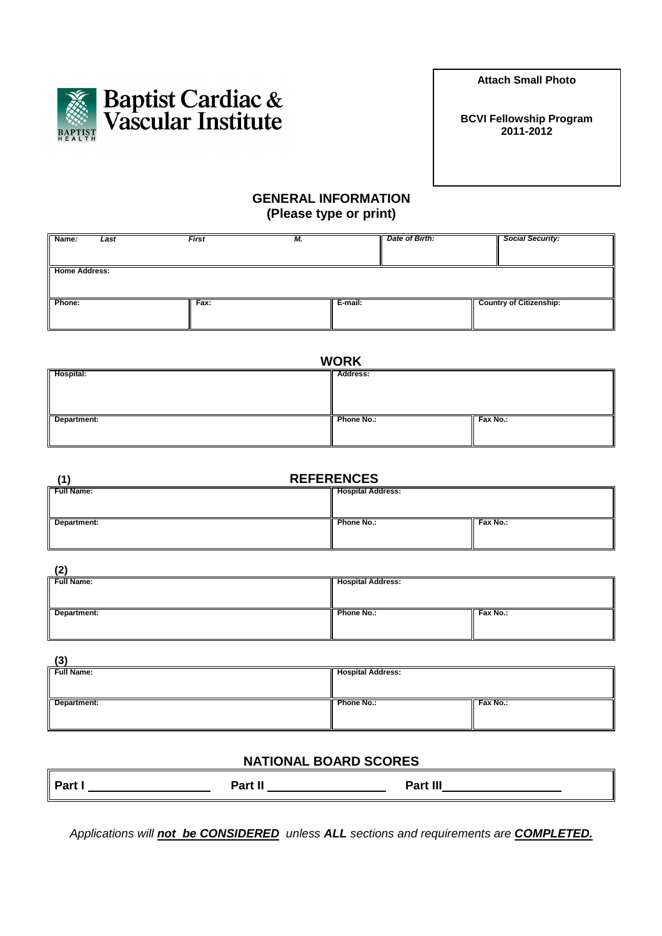**Attach Small Photo** 



## **GENERAL INFORMATION (Please type or print)**

| Name:                | Last | <b>First</b> | M. |         | Date of Birth: | <b>Social Security:</b>        |
|----------------------|------|--------------|----|---------|----------------|--------------------------------|
| <b>Home Address:</b> |      |              |    |         |                |                                |
| Phone:               |      | Fax:         |    | E-mail: |                | <b>Country of Citizenship:</b> |

| <b>WORK</b> |            |          |  |
|-------------|------------|----------|--|
| Hospital:   | Address:   |          |  |
| Department: | Phone No.: | Fax No.: |  |

| <b>REFERENCES</b> |                          |          |  |
|-------------------|--------------------------|----------|--|
| <b>Full Name:</b> | <b>Hospital Address:</b> |          |  |
|                   |                          |          |  |
| Department:       | Phone No.:               | Fax No.: |  |
|                   |                          |          |  |

| (2)        |  |
|------------|--|
| Full Name: |  |
|            |  |

| <b>Full Name:</b> | <b>Hospital Address:</b> |          |
|-------------------|--------------------------|----------|
|                   |                          |          |
| Department:       | Phone No.:               | Fax No.: |
|                   |                          |          |

| $\sim$            |                          |          |
|-------------------|--------------------------|----------|
| <b>Full Name:</b> | <b>Hospital Address:</b> |          |
|                   |                          |          |
|                   |                          |          |
| Department:       | Phone No.:               | Fax No.: |
|                   |                          |          |
|                   |                          |          |

## **NATIONAL BOARD SCORES**

| Part. | . | Ш<br>$\mathbf{A} = \mathbf{A}$ |
|-------|---|--------------------------------|
|       |   |                                |

Applications will **not be CONSIDERED** unless **ALL** sections and requirements are **COMPLETED.**